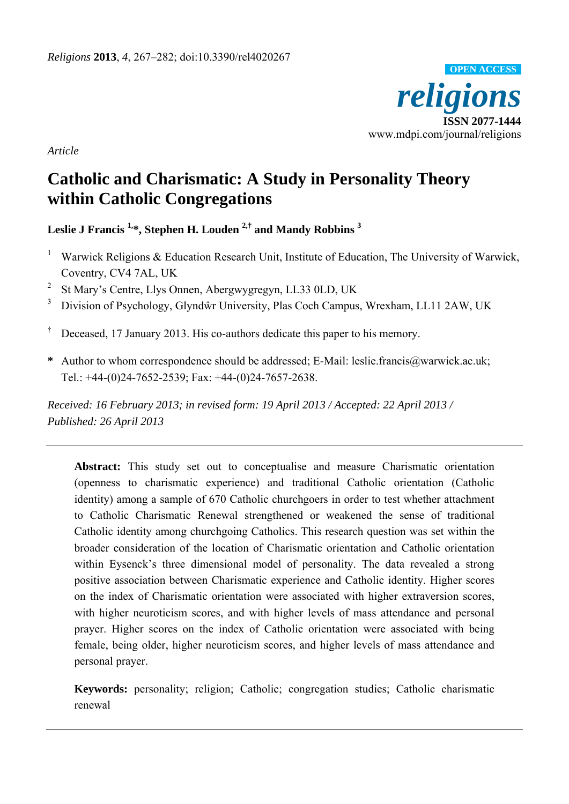

*Article* 

# **Catholic and Charismatic: A Study in Personality Theory within Catholic Congregations**

**Leslie J Francis 1,\*, Stephen H. Louden 2,† and Mandy Robbins 3**

- 1 Warwick Religions & Education Research Unit, Institute of Education, The University of Warwick, Coventry, CV4 7AL, UK
- 2 St Mary's Centre, Llys Onnen, Abergwygregyn, LL33 0LD, UK
- 3 Division of Psychology, Glyndŵr University, Plas Coch Campus, Wrexham, LL11 2AW, UK
- † Deceased, 17 January 2013. His co-authors dedicate this paper to his memory.
- **\*** Author to whom correspondence should be addressed; E-Mail: leslie.francis@warwick.ac.uk; Tel.: +44-(0)24-7652-2539; Fax: +44-(0)24-7657-2638.

*Received: 16 February 2013; in revised form: 19 April 2013 / Accepted: 22 April 2013 / Published: 24 April 2013 26* 

**Abstract:** This study set out to conceptualise and measure Charismatic orientation (openness to charismatic experience) and traditional Catholic orientation (Catholic identity) among a sample of 670 Catholic churchgoers in order to test whether attachment to Catholic Charismatic Renewal strengthened or weakened the sense of traditional Catholic identity among churchgoing Catholics. This research question was set within the broader consideration of the location of Charismatic orientation and Catholic orientation within Eysenck's three dimensional model of personality. The data revealed a strong positive association between Charismatic experience and Catholic identity. Higher scores on the index of Charismatic orientation were associated with higher extraversion scores, with higher neuroticism scores, and with higher levels of mass attendance and personal prayer. Higher scores on the index of Catholic orientation were associated with being female, being older, higher neuroticism scores, and higher levels of mass attendance and personal prayer.

**Keywords:** personality; religion; Catholic; congregation studies; Catholic charismatic renewal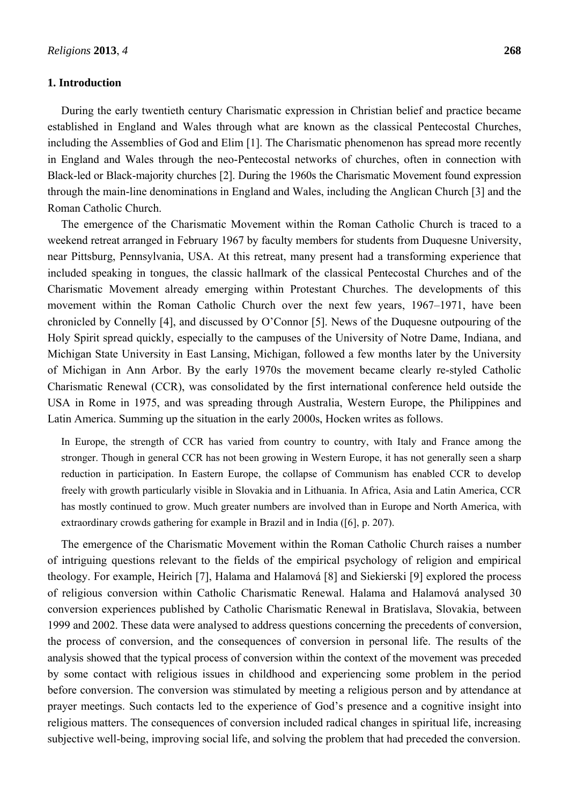### **1. Introduction**

During the early twentieth century Charismatic expression in Christian belief and practice became established in England and Wales through what are known as the classical Pentecostal Churches, including the Assemblies of God and Elim [1]. The Charismatic phenomenon has spread more recently in England and Wales through the neo-Pentecostal networks of churches, often in connection with Black-led or Black-majority churches [2]. During the 1960s the Charismatic Movement found expression through the main-line denominations in England and Wales, including the Anglican Church [3] and the Roman Catholic Church.

The emergence of the Charismatic Movement within the Roman Catholic Church is traced to a weekend retreat arranged in February 1967 by faculty members for students from Duquesne University, near Pittsburg, Pennsylvania, USA. At this retreat, many present had a transforming experience that included speaking in tongues, the classic hallmark of the classical Pentecostal Churches and of the Charismatic Movement already emerging within Protestant Churches. The developments of this movement within the Roman Catholic Church over the next few years, 1967–1971, have been chronicled by Connelly [4], and discussed by O'Connor [5]. News of the Duquesne outpouring of the Holy Spirit spread quickly, especially to the campuses of the University of Notre Dame, Indiana, and Michigan State University in East Lansing, Michigan, followed a few months later by the University of Michigan in Ann Arbor. By the early 1970s the movement became clearly re-styled Catholic Charismatic Renewal (CCR), was consolidated by the first international conference held outside the USA in Rome in 1975, and was spreading through Australia, Western Europe, the Philippines and Latin America. Summing up the situation in the early 2000s, Hocken writes as follows.

In Europe, the strength of CCR has varied from country to country, with Italy and France among the stronger. Though in general CCR has not been growing in Western Europe, it has not generally seen a sharp reduction in participation. In Eastern Europe, the collapse of Communism has enabled CCR to develop freely with growth particularly visible in Slovakia and in Lithuania. In Africa, Asia and Latin America, CCR has mostly continued to grow. Much greater numbers are involved than in Europe and North America, with extraordinary crowds gathering for example in Brazil and in India ([6], p. 207).

The emergence of the Charismatic Movement within the Roman Catholic Church raises a number of intriguing questions relevant to the fields of the empirical psychology of religion and empirical theology. For example, Heirich [7], Halama and Halamová [8] and Siekierski [9] explored the process of religious conversion within Catholic Charismatic Renewal. Halama and Halamová analysed 30 conversion experiences published by Catholic Charismatic Renewal in Bratislava, Slovakia, between 1999 and 2002. These data were analysed to address questions concerning the precedents of conversion, the process of conversion, and the consequences of conversion in personal life. The results of the analysis showed that the typical process of conversion within the context of the movement was preceded by some contact with religious issues in childhood and experiencing some problem in the period before conversion. The conversion was stimulated by meeting a religious person and by attendance at prayer meetings. Such contacts led to the experience of God's presence and a cognitive insight into religious matters. The consequences of conversion included radical changes in spiritual life, increasing subjective well-being, improving social life, and solving the problem that had preceded the conversion.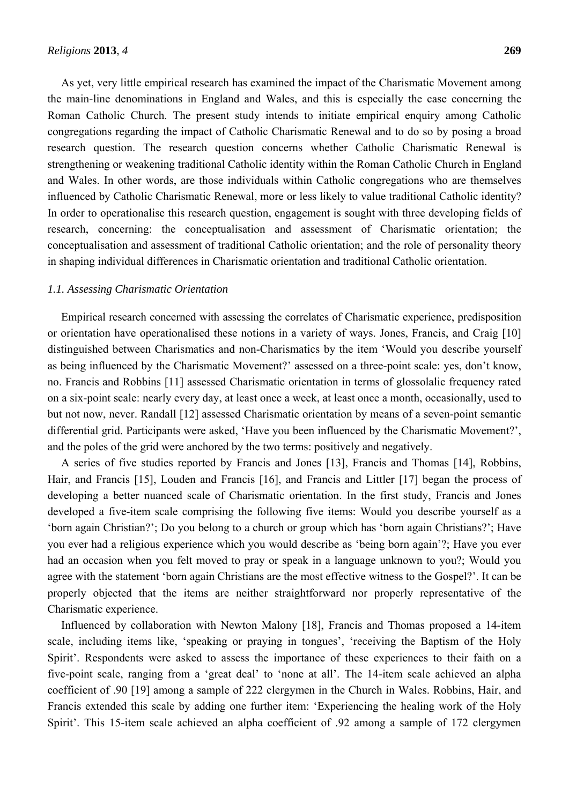As yet, very little empirical research has examined the impact of the Charismatic Movement among the main-line denominations in England and Wales, and this is especially the case concerning the Roman Catholic Church. The present study intends to initiate empirical enquiry among Catholic congregations regarding the impact of Catholic Charismatic Renewal and to do so by posing a broad research question. The research question concerns whether Catholic Charismatic Renewal is strengthening or weakening traditional Catholic identity within the Roman Catholic Church in England and Wales. In other words, are those individuals within Catholic congregations who are themselves influenced by Catholic Charismatic Renewal, more or less likely to value traditional Catholic identity? In order to operationalise this research question, engagement is sought with three developing fields of research, concerning: the conceptualisation and assessment of Charismatic orientation; the conceptualisation and assessment of traditional Catholic orientation; and the role of personality theory in shaping individual differences in Charismatic orientation and traditional Catholic orientation.

#### *1.1. Assessing Charismatic Orientation*

Empirical research concerned with assessing the correlates of Charismatic experience, predisposition or orientation have operationalised these notions in a variety of ways. Jones, Francis, and Craig [10] distinguished between Charismatics and non-Charismatics by the item 'Would you describe yourself as being influenced by the Charismatic Movement?' assessed on a three-point scale: yes, don't know, no. Francis and Robbins [11] assessed Charismatic orientation in terms of glossolalic frequency rated on a six-point scale: nearly every day, at least once a week, at least once a month, occasionally, used to but not now, never. Randall [12] assessed Charismatic orientation by means of a seven-point semantic differential grid. Participants were asked, 'Have you been influenced by the Charismatic Movement?', and the poles of the grid were anchored by the two terms: positively and negatively.

A series of five studies reported by Francis and Jones [13], Francis and Thomas [14], Robbins, Hair, and Francis [15], Louden and Francis [16], and Francis and Littler [17] began the process of developing a better nuanced scale of Charismatic orientation. In the first study, Francis and Jones developed a five-item scale comprising the following five items: Would you describe yourself as a 'born again Christian?'; Do you belong to a church or group which has 'born again Christians?'; Have you ever had a religious experience which you would describe as 'being born again'?; Have you ever had an occasion when you felt moved to pray or speak in a language unknown to you?; Would you agree with the statement 'born again Christians are the most effective witness to the Gospel?'. It can be properly objected that the items are neither straightforward nor properly representative of the Charismatic experience.

Influenced by collaboration with Newton Malony [18], Francis and Thomas proposed a 14-item scale, including items like, 'speaking or praying in tongues', 'receiving the Baptism of the Holy Spirit'. Respondents were asked to assess the importance of these experiences to their faith on a five-point scale, ranging from a 'great deal' to 'none at all'. The 14-item scale achieved an alpha coefficient of .90 [19] among a sample of 222 clergymen in the Church in Wales. Robbins, Hair, and Francis extended this scale by adding one further item: 'Experiencing the healing work of the Holy Spirit'. This 15-item scale achieved an alpha coefficient of .92 among a sample of 172 clergymen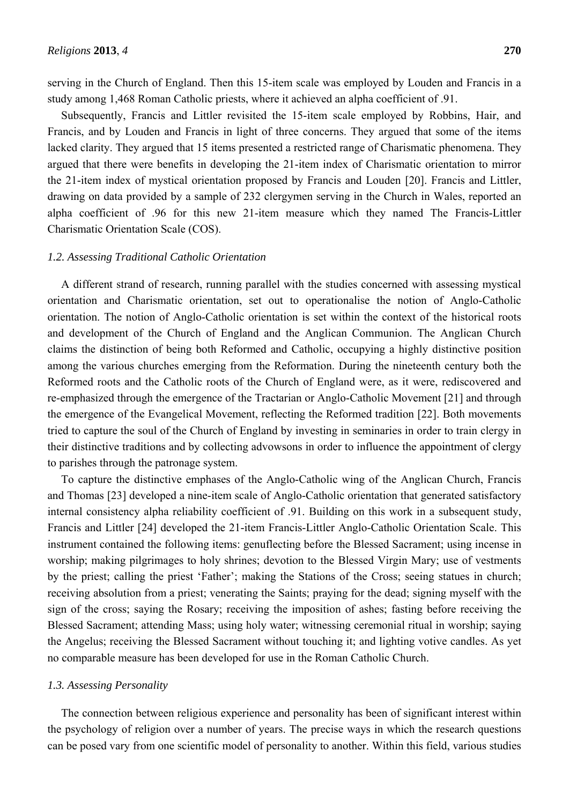serving in the Church of England. Then this 15-item scale was employed by Louden and Francis in a study among 1,468 Roman Catholic priests, where it achieved an alpha coefficient of .91.

Subsequently, Francis and Littler revisited the 15-item scale employed by Robbins, Hair, and Francis, and by Louden and Francis in light of three concerns. They argued that some of the items lacked clarity. They argued that 15 items presented a restricted range of Charismatic phenomena. They argued that there were benefits in developing the 21-item index of Charismatic orientation to mirror the 21-item index of mystical orientation proposed by Francis and Louden [20]. Francis and Littler, drawing on data provided by a sample of 232 clergymen serving in the Church in Wales, reported an alpha coefficient of .96 for this new 21-item measure which they named The Francis-Littler Charismatic Orientation Scale (COS).

#### *1.2. Assessing Traditional Catholic Orientation*

A different strand of research, running parallel with the studies concerned with assessing mystical orientation and Charismatic orientation, set out to operationalise the notion of Anglo-Catholic orientation. The notion of Anglo-Catholic orientation is set within the context of the historical roots and development of the Church of England and the Anglican Communion. The Anglican Church claims the distinction of being both Reformed and Catholic, occupying a highly distinctive position among the various churches emerging from the Reformation. During the nineteenth century both the Reformed roots and the Catholic roots of the Church of England were, as it were, rediscovered and re-emphasized through the emergence of the Tractarian or Anglo-Catholic Movement [21] and through the emergence of the Evangelical Movement, reflecting the Reformed tradition [22]. Both movements tried to capture the soul of the Church of England by investing in seminaries in order to train clergy in their distinctive traditions and by collecting advowsons in order to influence the appointment of clergy to parishes through the patronage system.

To capture the distinctive emphases of the Anglo-Catholic wing of the Anglican Church, Francis and Thomas [23] developed a nine-item scale of Anglo-Catholic orientation that generated satisfactory internal consistency alpha reliability coefficient of .91. Building on this work in a subsequent study, Francis and Littler [24] developed the 21-item Francis-Littler Anglo-Catholic Orientation Scale. This instrument contained the following items: genuflecting before the Blessed Sacrament; using incense in worship; making pilgrimages to holy shrines; devotion to the Blessed Virgin Mary; use of vestments by the priest; calling the priest 'Father'; making the Stations of the Cross; seeing statues in church; receiving absolution from a priest; venerating the Saints; praying for the dead; signing myself with the sign of the cross; saying the Rosary; receiving the imposition of ashes; fasting before receiving the Blessed Sacrament; attending Mass; using holy water; witnessing ceremonial ritual in worship; saying the Angelus; receiving the Blessed Sacrament without touching it; and lighting votive candles. As yet no comparable measure has been developed for use in the Roman Catholic Church.

#### *1.3. Assessing Personality*

The connection between religious experience and personality has been of significant interest within the psychology of religion over a number of years. The precise ways in which the research questions can be posed vary from one scientific model of personality to another. Within this field, various studies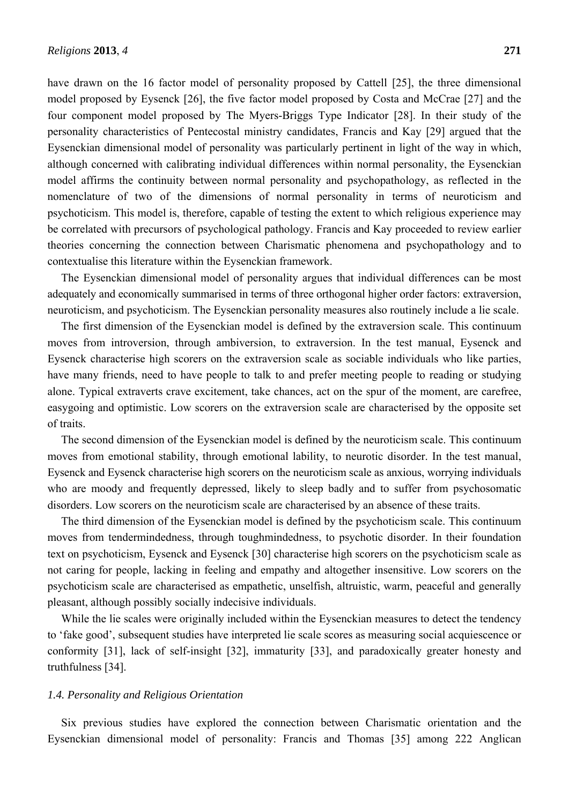have drawn on the 16 factor model of personality proposed by Cattell [25], the three dimensional model proposed by Eysenck [26], the five factor model proposed by Costa and McCrae [27] and the four component model proposed by The Myers-Briggs Type Indicator [28]. In their study of the personality characteristics of Pentecostal ministry candidates, Francis and Kay [29] argued that the Eysenckian dimensional model of personality was particularly pertinent in light of the way in which, although concerned with calibrating individual differences within normal personality, the Eysenckian model affirms the continuity between normal personality and psychopathology, as reflected in the nomenclature of two of the dimensions of normal personality in terms of neuroticism and psychoticism. This model is, therefore, capable of testing the extent to which religious experience may be correlated with precursors of psychological pathology. Francis and Kay proceeded to review earlier theories concerning the connection between Charismatic phenomena and psychopathology and to contextualise this literature within the Eysenckian framework.

The Eysenckian dimensional model of personality argues that individual differences can be most adequately and economically summarised in terms of three orthogonal higher order factors: extraversion, neuroticism, and psychoticism. The Eysenckian personality measures also routinely include a lie scale.

The first dimension of the Eysenckian model is defined by the extraversion scale. This continuum moves from introversion, through ambiversion, to extraversion. In the test manual, Eysenck and Eysenck characterise high scorers on the extraversion scale as sociable individuals who like parties, have many friends, need to have people to talk to and prefer meeting people to reading or studying alone. Typical extraverts crave excitement, take chances, act on the spur of the moment, are carefree, easygoing and optimistic. Low scorers on the extraversion scale are characterised by the opposite set of traits.

The second dimension of the Eysenckian model is defined by the neuroticism scale. This continuum moves from emotional stability, through emotional lability, to neurotic disorder. In the test manual, Eysenck and Eysenck characterise high scorers on the neuroticism scale as anxious, worrying individuals who are moody and frequently depressed, likely to sleep badly and to suffer from psychosomatic disorders. Low scorers on the neuroticism scale are characterised by an absence of these traits.

The third dimension of the Eysenckian model is defined by the psychoticism scale. This continuum moves from tendermindedness, through toughmindedness, to psychotic disorder. In their foundation text on psychoticism, Eysenck and Eysenck [30] characterise high scorers on the psychoticism scale as not caring for people, lacking in feeling and empathy and altogether insensitive. Low scorers on the psychoticism scale are characterised as empathetic, unselfish, altruistic, warm, peaceful and generally pleasant, although possibly socially indecisive individuals.

While the lie scales were originally included within the Eysenckian measures to detect the tendency to 'fake good', subsequent studies have interpreted lie scale scores as measuring social acquiescence or conformity [31], lack of self-insight [32], immaturity [33], and paradoxically greater honesty and truthfulness [34].

## *1.4. Personality and Religious Orientation*

Six previous studies have explored the connection between Charismatic orientation and the Eysenckian dimensional model of personality: Francis and Thomas [35] among 222 Anglican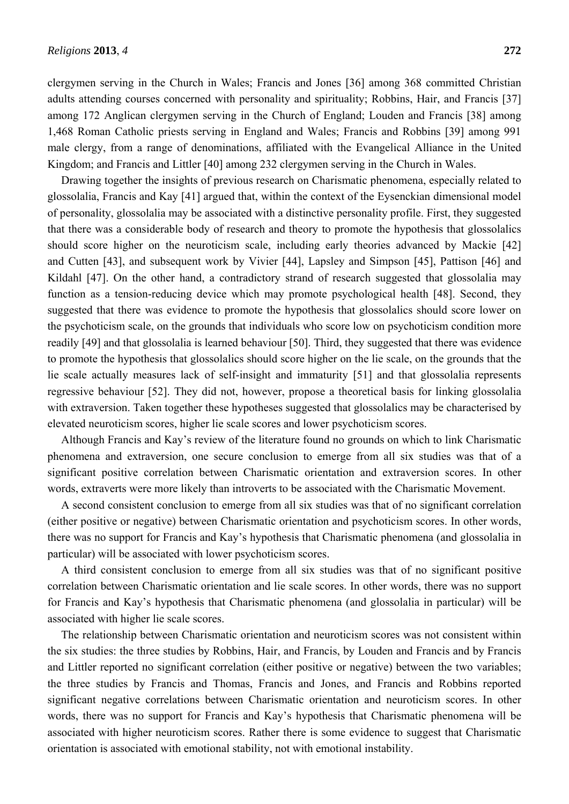clergymen serving in the Church in Wales; Francis and Jones [36] among 368 committed Christian adults attending courses concerned with personality and spirituality; Robbins, Hair, and Francis [37] among 172 Anglican clergymen serving in the Church of England; Louden and Francis [38] among 1,468 Roman Catholic priests serving in England and Wales; Francis and Robbins [39] among 991 male clergy, from a range of denominations, affiliated with the Evangelical Alliance in the United Kingdom; and Francis and Littler [40] among 232 clergymen serving in the Church in Wales.

Drawing together the insights of previous research on Charismatic phenomena, especially related to glossolalia, Francis and Kay [41] argued that, within the context of the Eysenckian dimensional model of personality, glossolalia may be associated with a distinctive personality profile. First, they suggested that there was a considerable body of research and theory to promote the hypothesis that glossolalics should score higher on the neuroticism scale, including early theories advanced by Mackie [42] and Cutten [43], and subsequent work by Vivier [44], Lapsley and Simpson [45], Pattison [46] and Kildahl [47]. On the other hand, a contradictory strand of research suggested that glossolalia may function as a tension-reducing device which may promote psychological health [48]. Second, they suggested that there was evidence to promote the hypothesis that glossolalics should score lower on the psychoticism scale, on the grounds that individuals who score low on psychoticism condition more readily [49] and that glossolalia is learned behaviour [50]. Third, they suggested that there was evidence to promote the hypothesis that glossolalics should score higher on the lie scale, on the grounds that the lie scale actually measures lack of self-insight and immaturity [51] and that glossolalia represents regressive behaviour [52]. They did not, however, propose a theoretical basis for linking glossolalia with extraversion. Taken together these hypotheses suggested that glossolalics may be characterised by elevated neuroticism scores, higher lie scale scores and lower psychoticism scores.

Although Francis and Kay's review of the literature found no grounds on which to link Charismatic phenomena and extraversion, one secure conclusion to emerge from all six studies was that of a significant positive correlation between Charismatic orientation and extraversion scores. In other words, extraverts were more likely than introverts to be associated with the Charismatic Movement.

A second consistent conclusion to emerge from all six studies was that of no significant correlation (either positive or negative) between Charismatic orientation and psychoticism scores. In other words, there was no support for Francis and Kay's hypothesis that Charismatic phenomena (and glossolalia in particular) will be associated with lower psychoticism scores.

A third consistent conclusion to emerge from all six studies was that of no significant positive correlation between Charismatic orientation and lie scale scores. In other words, there was no support for Francis and Kay's hypothesis that Charismatic phenomena (and glossolalia in particular) will be associated with higher lie scale scores.

The relationship between Charismatic orientation and neuroticism scores was not consistent within the six studies: the three studies by Robbins, Hair, and Francis, by Louden and Francis and by Francis and Littler reported no significant correlation (either positive or negative) between the two variables; the three studies by Francis and Thomas, Francis and Jones, and Francis and Robbins reported significant negative correlations between Charismatic orientation and neuroticism scores. In other words, there was no support for Francis and Kay's hypothesis that Charismatic phenomena will be associated with higher neuroticism scores. Rather there is some evidence to suggest that Charismatic orientation is associated with emotional stability, not with emotional instability.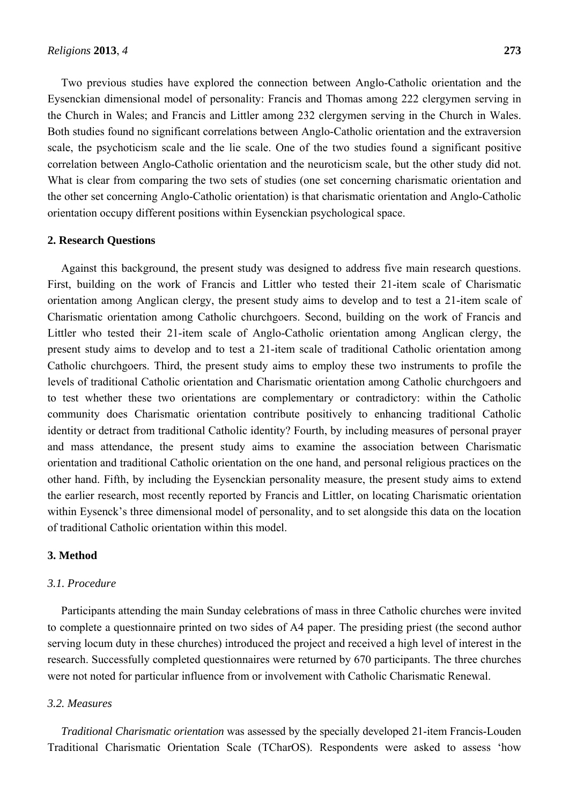Two previous studies have explored the connection between Anglo-Catholic orientation and the Eysenckian dimensional model of personality: Francis and Thomas among 222 clergymen serving in the Church in Wales; and Francis and Littler among 232 clergymen serving in the Church in Wales. Both studies found no significant correlations between Anglo-Catholic orientation and the extraversion scale, the psychoticism scale and the lie scale. One of the two studies found a significant positive correlation between Anglo-Catholic orientation and the neuroticism scale, but the other study did not. What is clear from comparing the two sets of studies (one set concerning charismatic orientation and the other set concerning Anglo-Catholic orientation) is that charismatic orientation and Anglo-Catholic orientation occupy different positions within Eysenckian psychological space.

#### **2. Research Questions**

Against this background, the present study was designed to address five main research questions. First, building on the work of Francis and Littler who tested their 21-item scale of Charismatic orientation among Anglican clergy, the present study aims to develop and to test a 21-item scale of Charismatic orientation among Catholic churchgoers. Second, building on the work of Francis and Littler who tested their 21-item scale of Anglo-Catholic orientation among Anglican clergy, the present study aims to develop and to test a 21-item scale of traditional Catholic orientation among Catholic churchgoers. Third, the present study aims to employ these two instruments to profile the levels of traditional Catholic orientation and Charismatic orientation among Catholic churchgoers and to test whether these two orientations are complementary or contradictory: within the Catholic community does Charismatic orientation contribute positively to enhancing traditional Catholic identity or detract from traditional Catholic identity? Fourth, by including measures of personal prayer and mass attendance, the present study aims to examine the association between Charismatic orientation and traditional Catholic orientation on the one hand, and personal religious practices on the other hand. Fifth, by including the Eysenckian personality measure, the present study aims to extend the earlier research, most recently reported by Francis and Littler, on locating Charismatic orientation within Eysenck's three dimensional model of personality, and to set alongside this data on the location of traditional Catholic orientation within this model.

#### **3. Method**

## *3.1. Procedure*

Participants attending the main Sunday celebrations of mass in three Catholic churches were invited to complete a questionnaire printed on two sides of A4 paper. The presiding priest (the second author serving locum duty in these churches) introduced the project and received a high level of interest in the research. Successfully completed questionnaires were returned by 670 participants. The three churches were not noted for particular influence from or involvement with Catholic Charismatic Renewal.

## *3.2. Measures*

*Traditional Charismatic orientation* was assessed by the specially developed 21-item Francis-Louden Traditional Charismatic Orientation Scale (TCharOS). Respondents were asked to assess 'how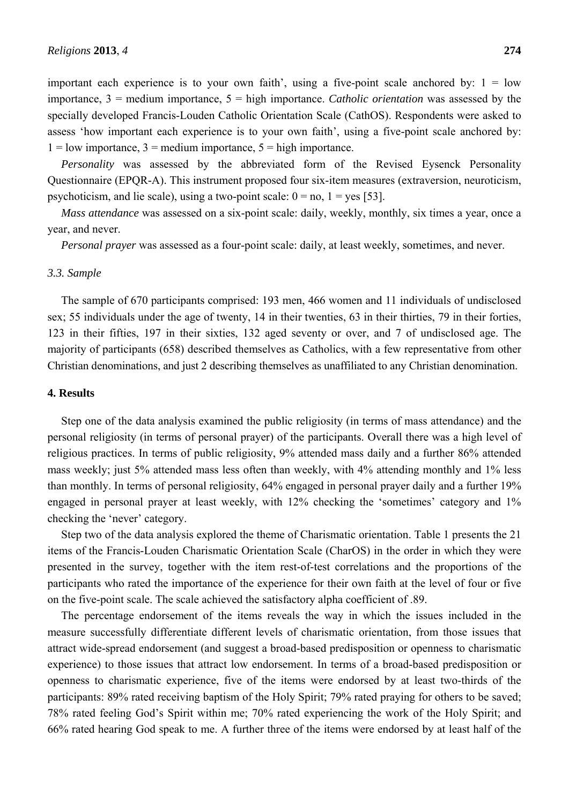important each experience is to your own faith', using a five-point scale anchored by:  $1 =$  low importance, 3 = medium importance, 5 = high importance. *Catholic orientation* was assessed by the specially developed Francis-Louden Catholic Orientation Scale (CathOS). Respondents were asked to assess 'how important each experience is to your own faith', using a five-point scale anchored by:  $1 =$ low importance,  $3 =$  medium importance,  $5 =$  high importance.

*Personality* was assessed by the abbreviated form of the Revised Eysenck Personality Questionnaire (EPQR-A). This instrument proposed four six-item measures (extraversion, neuroticism, psychoticism, and lie scale), using a two-point scale:  $0 = no$ ,  $1 = yes$  [53].

*Mass attendance* was assessed on a six-point scale: daily, weekly, monthly, six times a year, once a year, and never.

*Personal prayer* was assessed as a four-point scale: daily, at least weekly, sometimes, and never.

#### *3.3. Sample*

The sample of 670 participants comprised: 193 men, 466 women and 11 individuals of undisclosed sex; 55 individuals under the age of twenty, 14 in their twenties, 63 in their thirties, 79 in their forties, 123 in their fifties, 197 in their sixties, 132 aged seventy or over, and 7 of undisclosed age. The majority of participants (658) described themselves as Catholics, with a few representative from other Christian denominations, and just 2 describing themselves as unaffiliated to any Christian denomination.

#### **4. Results**

Step one of the data analysis examined the public religiosity (in terms of mass attendance) and the personal religiosity (in terms of personal prayer) of the participants. Overall there was a high level of religious practices. In terms of public religiosity, 9% attended mass daily and a further 86% attended mass weekly; just 5% attended mass less often than weekly, with 4% attending monthly and 1% less than monthly. In terms of personal religiosity, 64% engaged in personal prayer daily and a further 19% engaged in personal prayer at least weekly, with 12% checking the 'sometimes' category and 1% checking the 'never' category.

Step two of the data analysis explored the theme of Charismatic orientation. Table 1 presents the 21 items of the Francis-Louden Charismatic Orientation Scale (CharOS) in the order in which they were presented in the survey, together with the item rest-of-test correlations and the proportions of the participants who rated the importance of the experience for their own faith at the level of four or five on the five-point scale. The scale achieved the satisfactory alpha coefficient of .89.

The percentage endorsement of the items reveals the way in which the issues included in the measure successfully differentiate different levels of charismatic orientation, from those issues that attract wide-spread endorsement (and suggest a broad-based predisposition or openness to charismatic experience) to those issues that attract low endorsement. In terms of a broad-based predisposition or openness to charismatic experience, five of the items were endorsed by at least two-thirds of the participants: 89% rated receiving baptism of the Holy Spirit; 79% rated praying for others to be saved; 78% rated feeling God's Spirit within me; 70% rated experiencing the work of the Holy Spirit; and 66% rated hearing God speak to me. A further three of the items were endorsed by at least half of the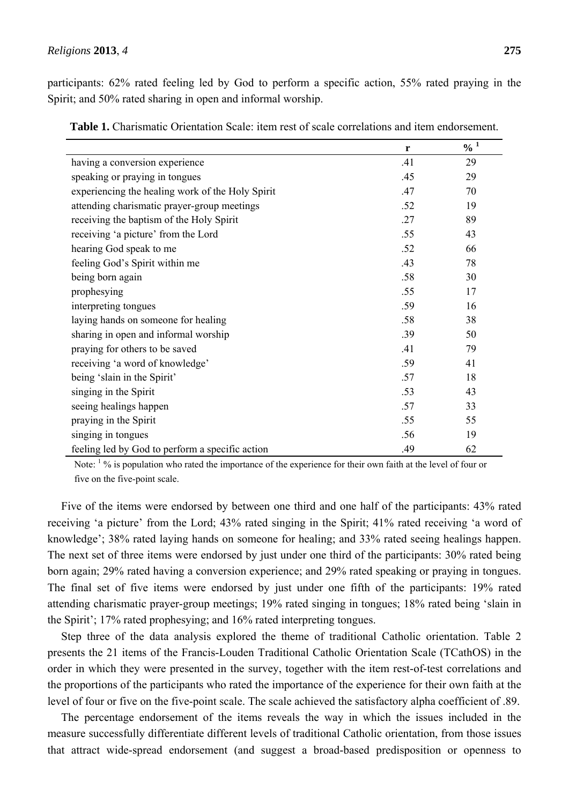participants: 62% rated feeling led by God to perform a specific action, 55% rated praying in the Spirit; and 50% rated sharing in open and informal worship.

|                                                  | r   | $\frac{0}{0}$ <sup>1</sup> |
|--------------------------------------------------|-----|----------------------------|
| having a conversion experience                   | .41 | 29                         |
| speaking or praying in tongues                   | .45 | 29                         |
| experiencing the healing work of the Holy Spirit | .47 | 70                         |
| attending charismatic prayer-group meetings      | .52 | 19                         |
| receiving the baptism of the Holy Spirit         | .27 | 89                         |
| receiving 'a picture' from the Lord              | .55 | 43                         |
| hearing God speak to me                          | .52 | 66                         |
| feeling God's Spirit within me                   | .43 | 78                         |
| being born again                                 | .58 | 30                         |
| prophesying                                      | .55 | 17                         |
| interpreting tongues                             | .59 | 16                         |
| laying hands on someone for healing              | .58 | 38                         |
| sharing in open and informal worship             | .39 | 50                         |
| praying for others to be saved                   | .41 | 79                         |
| receiving 'a word of knowledge'                  | .59 | 41                         |
| being 'slain in the Spirit'                      | .57 | 18                         |
| singing in the Spirit                            | .53 | 43                         |
| seeing healings happen                           | .57 | 33                         |
| praying in the Spirit                            | .55 | 55                         |
| singing in tongues                               | .56 | 19                         |
| feeling led by God to perform a specific action  | .49 | 62                         |

**Table 1.** Charismatic Orientation Scale: item rest of scale correlations and item endorsement.

Note:  $\frac{1}{2}$ % is population who rated the importance of the experience for their own faith at the level of four or five on the five-point scale.

Five of the items were endorsed by between one third and one half of the participants: 43% rated receiving 'a picture' from the Lord; 43% rated singing in the Spirit; 41% rated receiving 'a word of knowledge'; 38% rated laying hands on someone for healing; and 33% rated seeing healings happen. The next set of three items were endorsed by just under one third of the participants: 30% rated being born again; 29% rated having a conversion experience; and 29% rated speaking or praying in tongues. The final set of five items were endorsed by just under one fifth of the participants: 19% rated attending charismatic prayer-group meetings; 19% rated singing in tongues; 18% rated being 'slain in the Spirit'; 17% rated prophesying; and 16% rated interpreting tongues.

Step three of the data analysis explored the theme of traditional Catholic orientation. Table 2 presents the 21 items of the Francis-Louden Traditional Catholic Orientation Scale (TCathOS) in the order in which they were presented in the survey, together with the item rest-of-test correlations and the proportions of the participants who rated the importance of the experience for their own faith at the level of four or five on the five-point scale. The scale achieved the satisfactory alpha coefficient of .89.

The percentage endorsement of the items reveals the way in which the issues included in the measure successfully differentiate different levels of traditional Catholic orientation, from those issues that attract wide-spread endorsement (and suggest a broad-based predisposition or openness to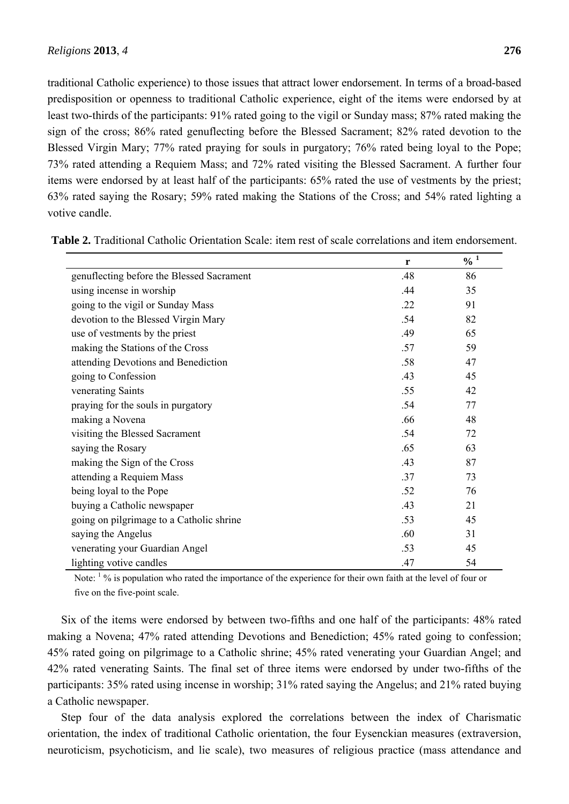traditional Catholic experience) to those issues that attract lower endorsement. In terms of a broad-based predisposition or openness to traditional Catholic experience, eight of the items were endorsed by at least two-thirds of the participants: 91% rated going to the vigil or Sunday mass; 87% rated making the sign of the cross; 86% rated genuflecting before the Blessed Sacrament; 82% rated devotion to the Blessed Virgin Mary; 77% rated praying for souls in purgatory; 76% rated being loyal to the Pope; 73% rated attending a Requiem Mass; and 72% rated visiting the Blessed Sacrament. A further four items were endorsed by at least half of the participants: 65% rated the use of vestments by the priest; 63% rated saying the Rosary; 59% rated making the Stations of the Cross; and 54% rated lighting a votive candle.

|                                           | r   | $\frac{9}{6}$ <sup>1</sup> |
|-------------------------------------------|-----|----------------------------|
| genuflecting before the Blessed Sacrament | .48 | 86                         |
| using incense in worship                  | .44 | 35                         |
| going to the vigil or Sunday Mass         | .22 | 91                         |
| devotion to the Blessed Virgin Mary       | .54 | 82                         |
| use of vestments by the priest            | .49 | 65                         |
| making the Stations of the Cross          | .57 | 59                         |
| attending Devotions and Benediction       | .58 | 47                         |
| going to Confession                       | .43 | 45                         |
| venerating Saints                         | .55 | 42                         |
| praying for the souls in purgatory        | .54 | 77                         |
| making a Novena                           | .66 | 48                         |
| visiting the Blessed Sacrament            | .54 | 72                         |
| saying the Rosary                         | .65 | 63                         |
| making the Sign of the Cross              | .43 | 87                         |
| attending a Requiem Mass                  | .37 | 73                         |
| being loyal to the Pope                   | .52 | 76                         |
| buying a Catholic newspaper               | .43 | 21                         |
| going on pilgrimage to a Catholic shrine  | .53 | 45                         |
| saying the Angelus                        | .60 | 31                         |
| venerating your Guardian Angel            | .53 | 45                         |
| lighting votive candles                   | .47 | 54                         |

**Table 2.** Traditional Catholic Orientation Scale: item rest of scale correlations and item endorsement.

Note:  $\frac{1}{2}$ % is population who rated the importance of the experience for their own faith at the level of four or five on the five-point scale.

Six of the items were endorsed by between two-fifths and one half of the participants: 48% rated making a Novena; 47% rated attending Devotions and Benediction; 45% rated going to confession; 45% rated going on pilgrimage to a Catholic shrine; 45% rated venerating your Guardian Angel; and 42% rated venerating Saints. The final set of three items were endorsed by under two-fifths of the participants: 35% rated using incense in worship; 31% rated saying the Angelus; and 21% rated buying a Catholic newspaper.

Step four of the data analysis explored the correlations between the index of Charismatic orientation, the index of traditional Catholic orientation, the four Eysenckian measures (extraversion, neuroticism, psychoticism, and lie scale), two measures of religious practice (mass attendance and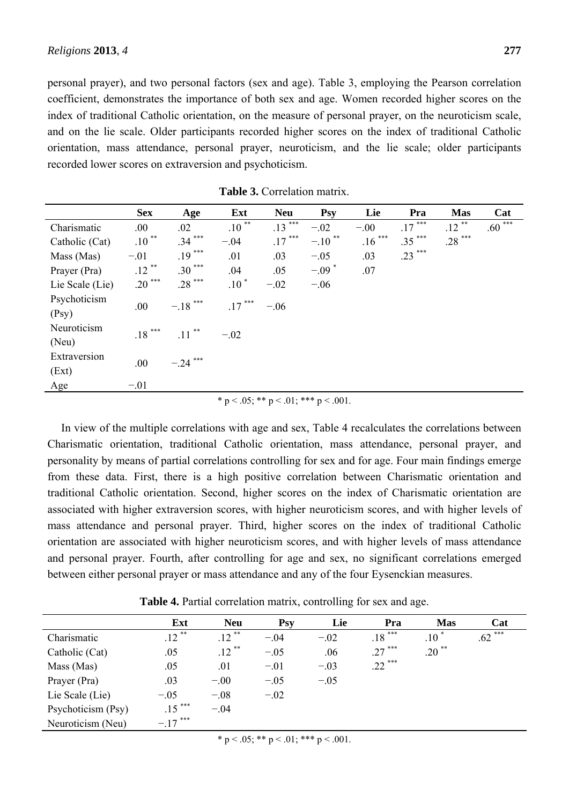personal prayer), and two personal factors (sex and age). Table 3, employing the Pearson correlation coefficient, demonstrates the importance of both sex and age. Women recorded higher scores on the index of traditional Catholic orientation, on the measure of personal prayer, on the neuroticism scale, and on the lie scale. Older participants recorded higher scores on the index of traditional Catholic orientation, mass attendance, personal prayer, neuroticism, and the lie scale; older participants recorded lower scores on extraversion and psychoticism.

|                 | <b>Sex</b>        | Age             | Ext      | <b>Neu</b> | <b>Psy</b>           | Lie      | Pra      | <b>Mas</b> | Cat      |
|-----------------|-------------------|-----------------|----------|------------|----------------------|----------|----------|------------|----------|
| Charismatic     | .00               | .02             | $.10***$ | $.13***$   | $-.02$               | $-.00$   | $.17***$ | $.12***$   | $.60***$ |
| Catholic (Cat)  | $.10***$          | $.34***$        | $-.04$   | $.17***$   | $-.10$ <sup>**</sup> | $.16***$ | $.35***$ | $.28***$   |          |
| Mass (Mas)      | $-.01$            | $.19***$        | .01      | .03        | $-.05$               | .03      | .23 ***  |            |          |
| Prayer (Pra)    | $\ast\ast$<br>.12 | $.30***$        | .04      | .05        | $-.09$ <sup>*</sup>  | .07      |          |            |          |
| Lie Scale (Lie) | $.20***$          | $.28***$        | $.10*$   | $-.02$     | $-.06$               |          |          |            |          |
| Psychoticism    | .00               | $***$<br>$-.18$ | $.17***$ | $-.06$     |                      |          |          |            |          |
| (Psy)           |                   |                 |          |            |                      |          |          |            |          |
| Neuroticism     | $.18***$          | $.11***$        | $-.02$   |            |                      |          |          |            |          |
| (Neu)           |                   |                 |          |            |                      |          |          |            |          |
| Extraversion    | .00.              | ***<br>$-.24$   |          |            |                      |          |          |            |          |
| (Ext)           |                   |                 |          |            |                      |          |          |            |          |
| Age             | $-.01$            |                 |          |            |                      |          |          |            |          |

|  | Table 3. Correlation matrix. |  |
|--|------------------------------|--|
|--|------------------------------|--|

\* p < .05; \*\* p < .01; \*\*\* p < .001.

In view of the multiple correlations with age and sex, Table 4 recalculates the correlations between Charismatic orientation, traditional Catholic orientation, mass attendance, personal prayer, and personality by means of partial correlations controlling for sex and for age. Four main findings emerge from these data. First, there is a high positive correlation between Charismatic orientation and traditional Catholic orientation. Second, higher scores on the index of Charismatic orientation are associated with higher extraversion scores, with higher neuroticism scores, and with higher levels of mass attendance and personal prayer. Third, higher scores on the index of traditional Catholic orientation are associated with higher neuroticism scores, and with higher levels of mass attendance and personal prayer. Fourth, after controlling for age and sex, no significant correlations emerged between either personal prayer or mass attendance and any of the four Eysenckian measures.

|                    | Ext        | <b>Neu</b> | <b>Psy</b> | Lie    | Pra       | <b>Mas</b>          | Cat                  |
|--------------------|------------|------------|------------|--------|-----------|---------------------|----------------------|
| Charismatic        | $.12$ **   | $.12$ **   | $-.04$     | $-.02$ | $.18***$  | $.10$ <sup>*</sup>  | $.62$ <sup>***</sup> |
| Catholic (Cat)     | .05        | $.12$ **   | $-.05$     | .06    | $.27***$  | $.20$ <sup>**</sup> |                      |
| Mass (Mas)         | .05        | .01        | $-.01$     | $-.03$ | $.22$ *** |                     |                      |
| Prayer (Pra)       | .03        | $-.00$     | $-.05$     | $-.05$ |           |                     |                      |
| Lie Scale (Lie)    | $-.05$     | $-.08$     | $-.02$     |        |           |                     |                      |
| Psychoticism (Psy) | $.15***$   | $-.04$     |            |        |           |                     |                      |
| Neuroticism (Neu)  | $-.17$ *** |            |            |        |           |                     |                      |

**Table 4.** Partial correlation matrix, controlling for sex and age.

\* p < .05; \*\* p < .01; \*\*\* p < .001.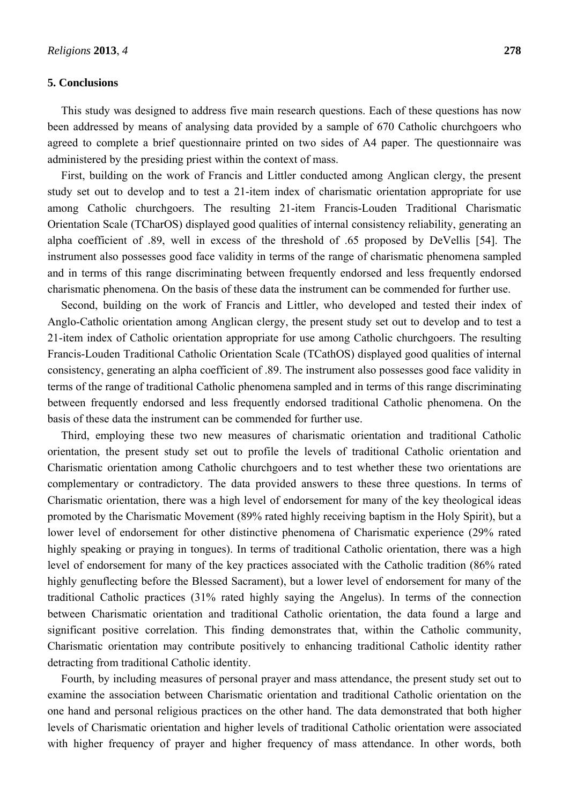#### **5. Conclusions**

This study was designed to address five main research questions. Each of these questions has now been addressed by means of analysing data provided by a sample of 670 Catholic churchgoers who agreed to complete a brief questionnaire printed on two sides of A4 paper. The questionnaire was administered by the presiding priest within the context of mass.

First, building on the work of Francis and Littler conducted among Anglican clergy, the present study set out to develop and to test a 21-item index of charismatic orientation appropriate for use among Catholic churchgoers. The resulting 21-item Francis-Louden Traditional Charismatic Orientation Scale (TCharOS) displayed good qualities of internal consistency reliability, generating an alpha coefficient of .89, well in excess of the threshold of .65 proposed by DeVellis [54]. The instrument also possesses good face validity in terms of the range of charismatic phenomena sampled and in terms of this range discriminating between frequently endorsed and less frequently endorsed charismatic phenomena. On the basis of these data the instrument can be commended for further use.

Second, building on the work of Francis and Littler, who developed and tested their index of Anglo-Catholic orientation among Anglican clergy, the present study set out to develop and to test a 21-item index of Catholic orientation appropriate for use among Catholic churchgoers. The resulting Francis-Louden Traditional Catholic Orientation Scale (TCathOS) displayed good qualities of internal consistency, generating an alpha coefficient of .89. The instrument also possesses good face validity in terms of the range of traditional Catholic phenomena sampled and in terms of this range discriminating between frequently endorsed and less frequently endorsed traditional Catholic phenomena. On the basis of these data the instrument can be commended for further use.

Third, employing these two new measures of charismatic orientation and traditional Catholic orientation, the present study set out to profile the levels of traditional Catholic orientation and Charismatic orientation among Catholic churchgoers and to test whether these two orientations are complementary or contradictory. The data provided answers to these three questions. In terms of Charismatic orientation, there was a high level of endorsement for many of the key theological ideas promoted by the Charismatic Movement (89% rated highly receiving baptism in the Holy Spirit), but a lower level of endorsement for other distinctive phenomena of Charismatic experience (29% rated highly speaking or praying in tongues). In terms of traditional Catholic orientation, there was a high level of endorsement for many of the key practices associated with the Catholic tradition (86% rated highly genuflecting before the Blessed Sacrament), but a lower level of endorsement for many of the traditional Catholic practices (31% rated highly saying the Angelus). In terms of the connection between Charismatic orientation and traditional Catholic orientation, the data found a large and significant positive correlation. This finding demonstrates that, within the Catholic community, Charismatic orientation may contribute positively to enhancing traditional Catholic identity rather detracting from traditional Catholic identity.

Fourth, by including measures of personal prayer and mass attendance, the present study set out to examine the association between Charismatic orientation and traditional Catholic orientation on the one hand and personal religious practices on the other hand. The data demonstrated that both higher levels of Charismatic orientation and higher levels of traditional Catholic orientation were associated with higher frequency of prayer and higher frequency of mass attendance. In other words, both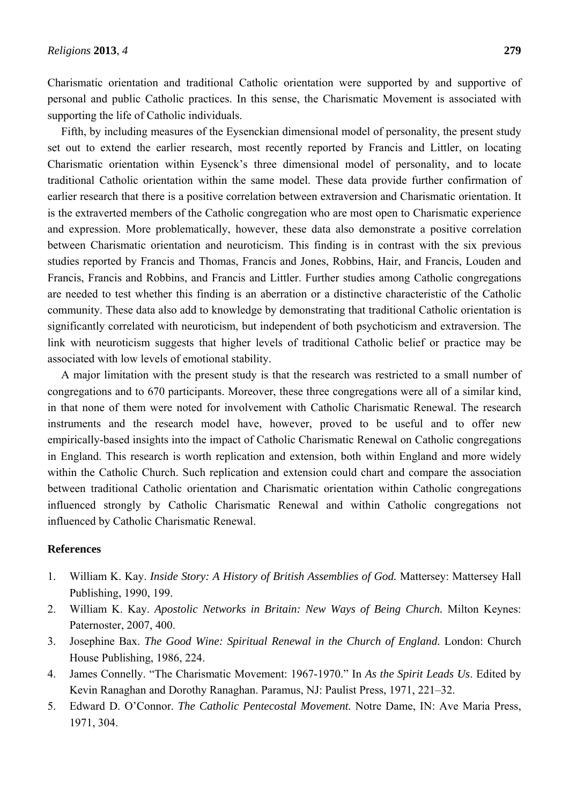Charismatic orientation and traditional Catholic orientation were supported by and supportive of personal and public Catholic practices. In this sense, the Charismatic Movement is associated with supporting the life of Catholic individuals.

Fifth, by including measures of the Eysenckian dimensional model of personality, the present study set out to extend the earlier research, most recently reported by Francis and Littler, on locating Charismatic orientation within Eysenck's three dimensional model of personality, and to locate traditional Catholic orientation within the same model. These data provide further confirmation of earlier research that there is a positive correlation between extraversion and Charismatic orientation. It is the extraverted members of the Catholic congregation who are most open to Charismatic experience and expression. More problematically, however, these data also demonstrate a positive correlation between Charismatic orientation and neuroticism. This finding is in contrast with the six previous studies reported by Francis and Thomas, Francis and Jones, Robbins, Hair, and Francis, Louden and Francis, Francis and Robbins, and Francis and Littler. Further studies among Catholic congregations are needed to test whether this finding is an aberration or a distinctive characteristic of the Catholic community. These data also add to knowledge by demonstrating that traditional Catholic orientation is significantly correlated with neuroticism, but independent of both psychoticism and extraversion. The link with neuroticism suggests that higher levels of traditional Catholic belief or practice may be associated with low levels of emotional stability.

A major limitation with the present study is that the research was restricted to a small number of congregations and to 670 participants. Moreover, these three congregations were all of a similar kind, in that none of them were noted for involvement with Catholic Charismatic Renewal. The research instruments and the research model have, however, proved to be useful and to offer new empirically-based insights into the impact of Catholic Charismatic Renewal on Catholic congregations in England. This research is worth replication and extension, both within England and more widely within the Catholic Church. Such replication and extension could chart and compare the association between traditional Catholic orientation and Charismatic orientation within Catholic congregations influenced strongly by Catholic Charismatic Renewal and within Catholic congregations not influenced by Catholic Charismatic Renewal.

## **References**

- 1. William K. Kay. *Inside Story: A History of British Assemblies of God.* Mattersey: Mattersey Hall Publishing, 1990, 199.
- 2. William K. Kay. *Apostolic Networks in Britain: New Ways of Being Church.* Milton Keynes: Paternoster, 2007, 400.
- 3. Josephine Bax. *The Good Wine: Spiritual Renewal in the Church of England.* London: Church House Publishing, 1986, 224.
- 4. James Connelly. "The Charismatic Movement: 1967-1970." In *As the Spirit Leads Us*. Edited by Kevin Ranaghan and Dorothy Ranaghan. Paramus, NJ: Paulist Press, 1971, 221–32.
- 5. Edward D. O'Connor. *The Catholic Pentecostal Movement.* Notre Dame, IN: Ave Maria Press, 1971, 304.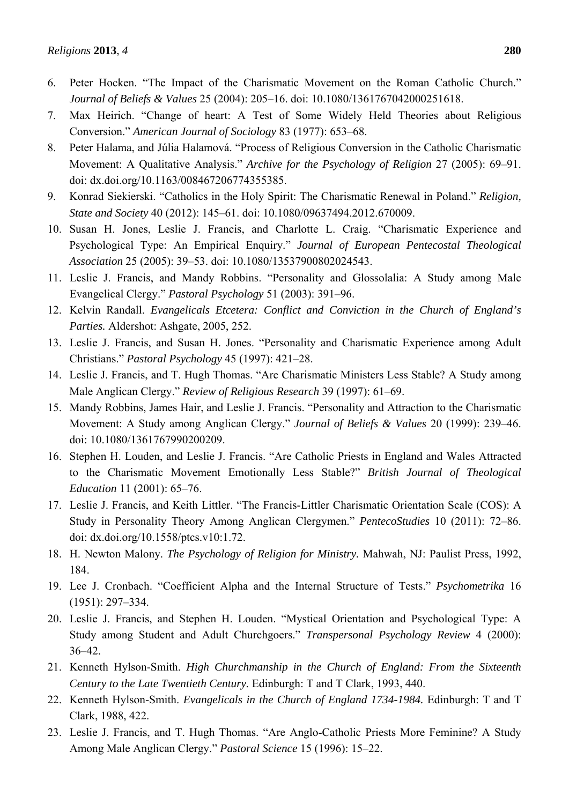- 6. Peter Hocken. "The Impact of the Charismatic Movement on the Roman Catholic Church." *Journal of Beliefs & Values* 25 (2004): 205–16. doi: 10.1080/1361767042000251618.
- 7. Max Heirich. "Change of heart: A Test of Some Widely Held Theories about Religious Conversion." *American Journal of Sociology* 83 (1977): 653–68.
- 8. Peter Halama, and Júlia Halamová. "Process of Religious Conversion in the Catholic Charismatic Movement: A Qualitative Analysis." *Archive for the Psychology of Religion* 27 (2005): 69–91. doi: dx.doi.org/10.1163/008467206774355385.
- 9. Konrad Siekierski. "Catholics in the Holy Spirit: The Charismatic Renewal in Poland." *Religion, State and Society* 40 (2012): 145–61. doi: 10.1080/09637494.2012.670009.
- 10. Susan H. Jones, Leslie J. Francis, and Charlotte L. Craig. "Charismatic Experience and Psychological Type: An Empirical Enquiry." *Journal of European Pentecostal Theological Association* 25 (2005): 39–53. doi: 10.1080/13537900802024543.
- 11. Leslie J. Francis, and Mandy Robbins. "Personality and Glossolalia: A Study among Male Evangelical Clergy." *Pastoral Psychology* 51 (2003): 391–96.
- 12. Kelvin Randall. *Evangelicals Etcetera: Conflict and Conviction in the Church of England's Parties.* Aldershot: Ashgate, 2005, 252.
- 13. Leslie J. Francis, and Susan H. Jones. "Personality and Charismatic Experience among Adult Christians." *Pastoral Psychology* 45 (1997): 421–28.
- 14. Leslie J. Francis, and T. Hugh Thomas. "Are Charismatic Ministers Less Stable? A Study among Male Anglican Clergy." *Review of Religious Research* 39 (1997): 61–69.
- 15. Mandy Robbins, James Hair, and Leslie J. Francis. "Personality and Attraction to the Charismatic Movement: A Study among Anglican Clergy." *Journal of Beliefs & Values* 20 (1999): 239–46. doi: 10.1080/1361767990200209.
- 16. Stephen H. Louden, and Leslie J. Francis. "Are Catholic Priests in England and Wales Attracted to the Charismatic Movement Emotionally Less Stable?" *British Journal of Theological Education* 11 (2001): 65–76.
- 17. Leslie J. Francis, and Keith Littler. "The Francis-Littler Charismatic Orientation Scale (COS): A Study in Personality Theory Among Anglican Clergymen." *PentecoStudies* 10 (2011): 72–86. doi: dx.doi.org/10.1558/ptcs.v10:1.72.
- 18. H. Newton Malony. *The Psychology of Religion for Ministry.* Mahwah, NJ: Paulist Press, 1992, 184.
- 19. Lee J. Cronbach. "Coefficient Alpha and the Internal Structure of Tests." *Psychometrika* 16 (1951): 297–334.
- 20. Leslie J. Francis, and Stephen H. Louden. "Mystical Orientation and Psychological Type: A Study among Student and Adult Churchgoers." *Transpersonal Psychology Review* 4 (2000): 36–42.
- 21. Kenneth Hylson-Smith. *High Churchmanship in the Church of England: From the Sixteenth Century to the Late Twentieth Century.* Edinburgh: T and T Clark, 1993, 440.
- 22. Kenneth Hylson-Smith. *Evangelicals in the Church of England 1734-1984.* Edinburgh: T and T Clark, 1988, 422.
- 23. Leslie J. Francis, and T. Hugh Thomas. "Are Anglo-Catholic Priests More Feminine? A Study Among Male Anglican Clergy." *Pastoral Science* 15 (1996): 15–22.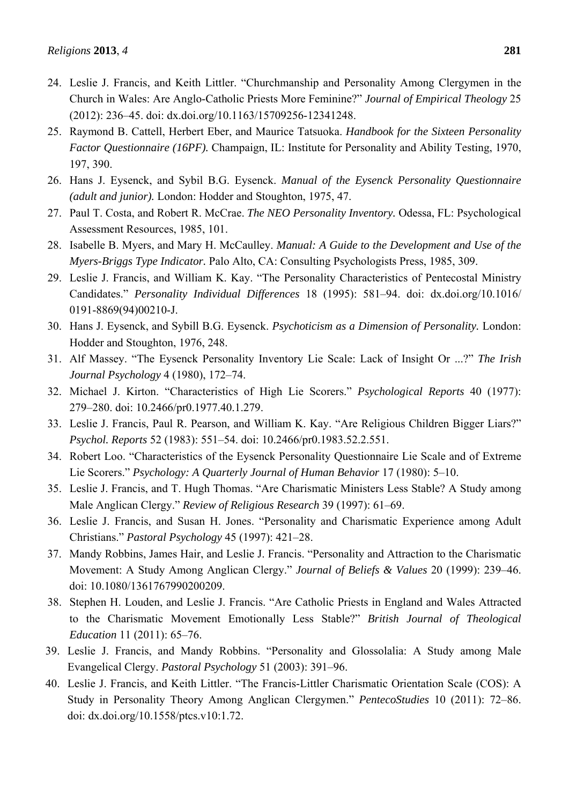- 24. Leslie J. Francis, and Keith Littler. "Churchmanship and Personality Among Clergymen in the Church in Wales: Are Anglo-Catholic Priests More Feminine?" *Journal of Empirical Theology* 25 (2012): 236–45. doi: dx.doi.org/10.1163/15709256-12341248.
- 25. Raymond B. Cattell, Herbert Eber, and Maurice Tatsuoka. *Handbook for the Sixteen Personality Factor Questionnaire (16PF).* Champaign, IL: Institute for Personality and Ability Testing, 1970, 197, 390.
- 26. Hans J. Eysenck, and Sybil B.G. Eysenck. *Manual of the Eysenck Personality Questionnaire (adult and junior).* London: Hodder and Stoughton, 1975, 47.
- 27. Paul T. Costa, and Robert R. McCrae. *The NEO Personality Inventory.* Odessa, FL: Psychological Assessment Resources, 1985, 101.
- 28. Isabelle B. Myers, and Mary H. McCaulley. *Manual: A Guide to the Development and Use of the Myers-Briggs Type Indicator.* Palo Alto, CA: Consulting Psychologists Press, 1985, 309.
- 29. Leslie J. Francis, and William K. Kay. "The Personality Characteristics of Pentecostal Ministry Candidates." *Personality Individual Differences* 18 (1995): 581–94. doi: dx.doi.org/10.1016/ 0191-8869(94)00210-J.
- 30. Hans J. Eysenck, and Sybill B.G. Eysenck. *Psychoticism as a Dimension of Personality.* London: Hodder and Stoughton, 1976, 248.
- 31. Alf Massey. "The Eysenck Personality Inventory Lie Scale: Lack of Insight Or ...?" *The Irish Journal Psychology* 4 (1980), 172–74.
- 32. Michael J. Kirton. "Characteristics of High Lie Scorers." *Psychological Reports* 40 (1977): 279–280. doi: 10.2466/pr0.1977.40.1.279.
- 33. Leslie J. Francis, Paul R. Pearson, and William K. Kay. "Are Religious Children Bigger Liars?" *Psychol. Reports* 52 (1983): 551–54. doi: 10.2466/pr0.1983.52.2.551.
- 34. Robert Loo. "Characteristics of the Eysenck Personality Questionnaire Lie Scale and of Extreme Lie Scorers." *Psychology: A Quarterly Journal of Human Behavior* 17 (1980): 5–10.
- 35. Leslie J. Francis, and T. Hugh Thomas. "Are Charismatic Ministers Less Stable? A Study among Male Anglican Clergy." *Review of Religious Research* 39 (1997): 61–69.
- 36. Leslie J. Francis, and Susan H. Jones. "Personality and Charismatic Experience among Adult Christians." *Pastoral Psychology* 45 (1997): 421–28.
- 37. Mandy Robbins, James Hair, and Leslie J. Francis. "Personality and Attraction to the Charismatic Movement: A Study Among Anglican Clergy." *Journal of Beliefs & Values* 20 (1999): 239–46. doi: 10.1080/1361767990200209.
- 38. Stephen H. Louden, and Leslie J. Francis. "Are Catholic Priests in England and Wales Attracted to the Charismatic Movement Emotionally Less Stable?" *British Journal of Theological Education* 11 (2011): 65–76.
- 39. Leslie J. Francis, and Mandy Robbins. "Personality and Glossolalia: A Study among Male Evangelical Clergy. *Pastoral Psychology* 51 (2003): 391–96.
- 40. Leslie J. Francis, and Keith Littler. "The Francis-Littler Charismatic Orientation Scale (COS): A Study in Personality Theory Among Anglican Clergymen." *PentecoStudies* 10 (2011): 72–86. doi: dx.doi.org/10.1558/ptcs.v10:1.72.